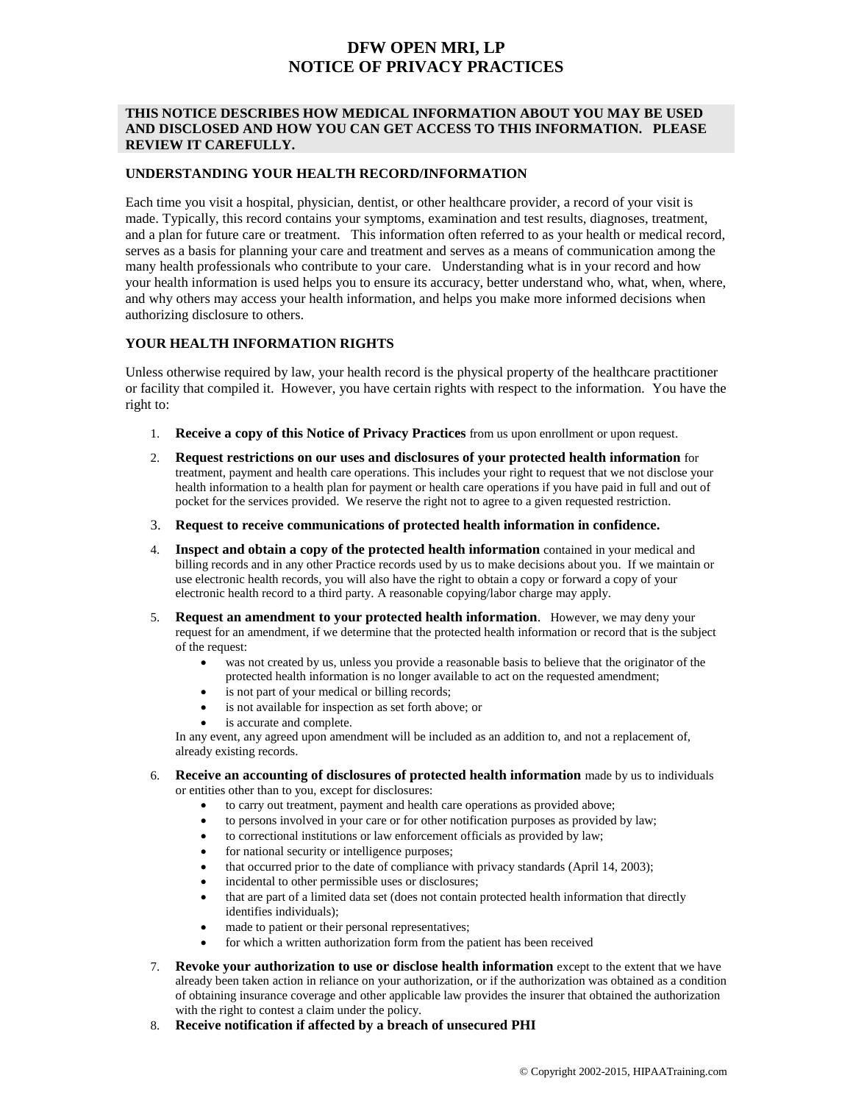# **DFW OPEN MRI, LP NOTICE OF PRIVACY PRACTICES**

### **THIS NOTICE DESCRIBES HOW MEDICAL INFORMATION ABOUT YOU MAY BE USED AND DISCLOSED AND HOW YOU CAN GET ACCESS TO THIS INFORMATION. PLEASE REVIEW IT CAREFULLY.**

#### **UNDERSTANDING YOUR HEALTH RECORD/INFORMATION**

Each time you visit a hospital, physician, dentist, or other healthcare provider, a record of your visit is made. Typically, this record contains your symptoms, examination and test results, diagnoses, treatment, and a plan for future care or treatment. This information often referred to as your health or medical record, serves as a basis for planning your care and treatment and serves as a means of communication among the many health professionals who contribute to your care. Understanding what is in your record and how your health information is used helps you to ensure its accuracy, better understand who, what, when, where, and why others may access your health information, and helps you make more informed decisions when authorizing disclosure to others.

## **YOUR HEALTH INFORMATION RIGHTS**

Unless otherwise required by law, your health record is the physical property of the healthcare practitioner or facility that compiled it. However, you have certain rights with respect to the information. You have the right to:

- 1. **Receive a copy of this Notice of Privacy Practices** from us upon enrollment or upon request.
- 2. **Request restrictions on our uses and disclosures of your protected health information** for treatment, payment and health care operations. This includes your right to request that we not disclose your health information to a health plan for payment or health care operations if you have paid in full and out of pocket for the services provided. We reserve the right not to agree to a given requested restriction.
- 3. **Request to receive communications of protected health information in confidence.**
- 4. **Inspect and obtain a copy of the protected health information** contained in your medical and billing records and in any other Practice records used by us to make decisions about you. If we maintain or use electronic health records, you will also have the right to obtain a copy or forward a copy of your electronic health record to a third party. A reasonable copying/labor charge may apply.
- 5. **Request an amendment to your protected health information**. However, we may deny your request for an amendment, if we determine that the protected health information or record that is the subject of the request:
	- was not created by us, unless you provide a reasonable basis to believe that the originator of the protected health information is no longer available to act on the requested amendment;
	- is not part of your medical or billing records;
	- is not available for inspection as set forth above; or
	- is accurate and complete.

In any event, any agreed upon amendment will be included as an addition to, and not a replacement of, already existing records.

- 6. **Receive an accounting of disclosures of protected health information** made by us to individuals or entities other than to you, except for disclosures:
	- to carry out treatment, payment and health care operations as provided above;
	- to persons involved in your care or for other notification purposes as provided by law;
	- to correctional institutions or law enforcement officials as provided by law;
	- for national security or intelligence purposes;
	- that occurred prior to the date of compliance with privacy standards (April 14, 2003);
	- incidental to other permissible uses or disclosures;
	- that are part of a limited data set (does not contain protected health information that directly identifies individuals);
	- made to patient or their personal representatives;
	- for which a written authorization form from the patient has been received
- 7. **Revoke your authorization to use or disclose health information** except to the extent that we have already been taken action in reliance on your authorization, or if the authorization was obtained as a condition of obtaining insurance coverage and other applicable law provides the insurer that obtained the authorization with the right to contest a claim under the policy.
- 8. **Receive notification if affected by a breach of unsecured PHI**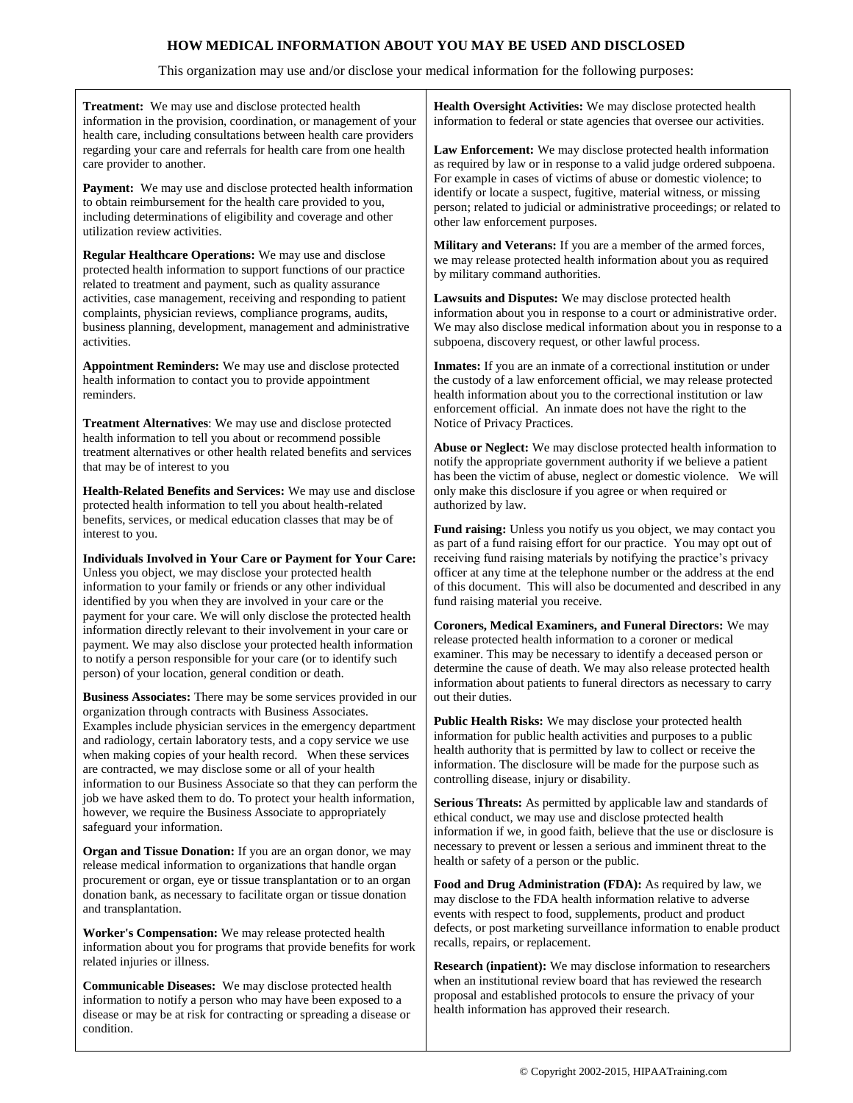## **HOW MEDICAL INFORMATION ABOUT YOU MAY BE USED AND DISCLOSED**

## This organization may use and/or disclose your medical information for the following purposes:

| Treatment: We may use and disclose protected health<br>information in the provision, coordination, or management of your                                                                                                                                                                                                                                                                                                                                                                                                                                                                             | Health Oversight Activities: We may disclose protected health<br>information to federal or state agencies that oversee our activities.                                                                                                                                                                                                                                                            |
|------------------------------------------------------------------------------------------------------------------------------------------------------------------------------------------------------------------------------------------------------------------------------------------------------------------------------------------------------------------------------------------------------------------------------------------------------------------------------------------------------------------------------------------------------------------------------------------------------|---------------------------------------------------------------------------------------------------------------------------------------------------------------------------------------------------------------------------------------------------------------------------------------------------------------------------------------------------------------------------------------------------|
| health care, including consultations between health care providers<br>regarding your care and referrals for health care from one health<br>care provider to another.                                                                                                                                                                                                                                                                                                                                                                                                                                 | Law Enforcement: We may disclose protected health information<br>as required by law or in response to a valid judge ordered subpoena.<br>For example in cases of victims of abuse or domestic violence; to<br>identify or locate a suspect, fugitive, material witness, or missing<br>person; related to judicial or administrative proceedings; or related to<br>other law enforcement purposes. |
| <b>Payment:</b> We may use and disclose protected health information<br>to obtain reimbursement for the health care provided to you,<br>including determinations of eligibility and coverage and other<br>utilization review activities.                                                                                                                                                                                                                                                                                                                                                             |                                                                                                                                                                                                                                                                                                                                                                                                   |
| Regular Healthcare Operations: We may use and disclose<br>protected health information to support functions of our practice<br>related to treatment and payment, such as quality assurance<br>activities, case management, receiving and responding to patient<br>complaints, physician reviews, compliance programs, audits,<br>business planning, development, management and administrative<br>activities.                                                                                                                                                                                        | Military and Veterans: If you are a member of the armed forces,<br>we may release protected health information about you as required<br>by military command authorities.                                                                                                                                                                                                                          |
|                                                                                                                                                                                                                                                                                                                                                                                                                                                                                                                                                                                                      | Lawsuits and Disputes: We may disclose protected health<br>information about you in response to a court or administrative order.<br>We may also disclose medical information about you in response to a<br>subpoena, discovery request, or other lawful process.                                                                                                                                  |
| Appointment Reminders: We may use and disclose protected<br>health information to contact you to provide appointment<br>reminders.                                                                                                                                                                                                                                                                                                                                                                                                                                                                   | <b>Inmates:</b> If you are an inmate of a correctional institution or under<br>the custody of a law enforcement official, we may release protected<br>health information about you to the correctional institution or law<br>enforcement official. An inmate does not have the right to the                                                                                                       |
| <b>Treatment Alternatives:</b> We may use and disclose protected<br>health information to tell you about or recommend possible                                                                                                                                                                                                                                                                                                                                                                                                                                                                       | Notice of Privacy Practices.                                                                                                                                                                                                                                                                                                                                                                      |
| treatment alternatives or other health related benefits and services<br>that may be of interest to you                                                                                                                                                                                                                                                                                                                                                                                                                                                                                               | Abuse or Neglect: We may disclose protected health information to<br>notify the appropriate government authority if we believe a patient<br>has been the victim of abuse, neglect or domestic violence. We will                                                                                                                                                                                   |
| Health-Related Benefits and Services: We may use and disclose<br>protected health information to tell you about health-related                                                                                                                                                                                                                                                                                                                                                                                                                                                                       | only make this disclosure if you agree or when required or<br>authorized by law.                                                                                                                                                                                                                                                                                                                  |
| benefits, services, or medical education classes that may be of<br>interest to you.                                                                                                                                                                                                                                                                                                                                                                                                                                                                                                                  | Fund raising: Unless you notify us you object, we may contact you                                                                                                                                                                                                                                                                                                                                 |
| Individuals Involved in Your Care or Payment for Your Care:<br>Unless you object, we may disclose your protected health<br>information to your family or friends or any other individual<br>identified by you when they are involved in your care or the<br>payment for your care. We will only disclose the protected health<br>information directly relevant to their involvement in your care or<br>payment. We may also disclose your protected health information<br>to notify a person responsible for your care (or to identify such<br>person) of your location, general condition or death. | as part of a fund raising effort for our practice. You may opt out of<br>receiving fund raising materials by notifying the practice's privacy<br>officer at any time at the telephone number or the address at the end<br>of this document. This will also be documented and described in any<br>fund raising material you receive.                                                               |
|                                                                                                                                                                                                                                                                                                                                                                                                                                                                                                                                                                                                      | Coroners, Medical Examiners, and Funeral Directors: We may<br>release protected health information to a coroner or medical<br>examiner. This may be necessary to identify a deceased person or<br>determine the cause of death. We may also release protected health<br>information about patients to funeral directors as necessary to carry                                                     |
| <b>Business Associates:</b> There may be some services provided in our                                                                                                                                                                                                                                                                                                                                                                                                                                                                                                                               | out their duties.                                                                                                                                                                                                                                                                                                                                                                                 |
| organization through contracts with Business Associates.<br>Examples include physician services in the emergency department<br>and radiology, certain laboratory tests, and a copy service we use<br>when making copies of your health record. When these services<br>are contracted, we may disclose some or all of your health<br>information to our Business Associate so that they can perform the                                                                                                                                                                                               | Public Health Risks: We may disclose your protected health<br>information for public health activities and purposes to a public<br>health authority that is permitted by law to collect or receive the<br>information. The disclosure will be made for the purpose such as<br>controlling disease, injury or disability.                                                                          |
| job we have asked them to do. To protect your health information,<br>however, we require the Business Associate to appropriately<br>safeguard your information.                                                                                                                                                                                                                                                                                                                                                                                                                                      | <b>Serious Threats:</b> As permitted by applicable law and standards of<br>ethical conduct, we may use and disclose protected health<br>information if we, in good faith, believe that the use or disclosure is                                                                                                                                                                                   |
| <b>Organ and Tissue Donation:</b> If you are an organ donor, we may<br>release medical information to organizations that handle organ                                                                                                                                                                                                                                                                                                                                                                                                                                                                | necessary to prevent or lessen a serious and imminent threat to the<br>health or safety of a person or the public.                                                                                                                                                                                                                                                                                |
| procurement or organ, eye or tissue transplantation or to an organ<br>donation bank, as necessary to facilitate organ or tissue donation<br>and transplantation.                                                                                                                                                                                                                                                                                                                                                                                                                                     | Food and Drug Administration (FDA): As required by law, we<br>may disclose to the FDA health information relative to adverse<br>events with respect to food, supplements, product and product                                                                                                                                                                                                     |
| Worker's Compensation: We may release protected health<br>information about you for programs that provide benefits for work                                                                                                                                                                                                                                                                                                                                                                                                                                                                          | defects, or post marketing surveillance information to enable product<br>recalls, repairs, or replacement.                                                                                                                                                                                                                                                                                        |
| related injuries or illness.<br>Communicable Diseases: We may disclose protected health<br>information to notify a person who may have been exposed to a<br>disease or may be at risk for contracting or spreading a disease or                                                                                                                                                                                                                                                                                                                                                                      | Research (inpatient): We may disclose information to researchers<br>when an institutional review board that has reviewed the research<br>proposal and established protocols to ensure the privacy of your<br>health information has approved their research.                                                                                                                                      |

condition.